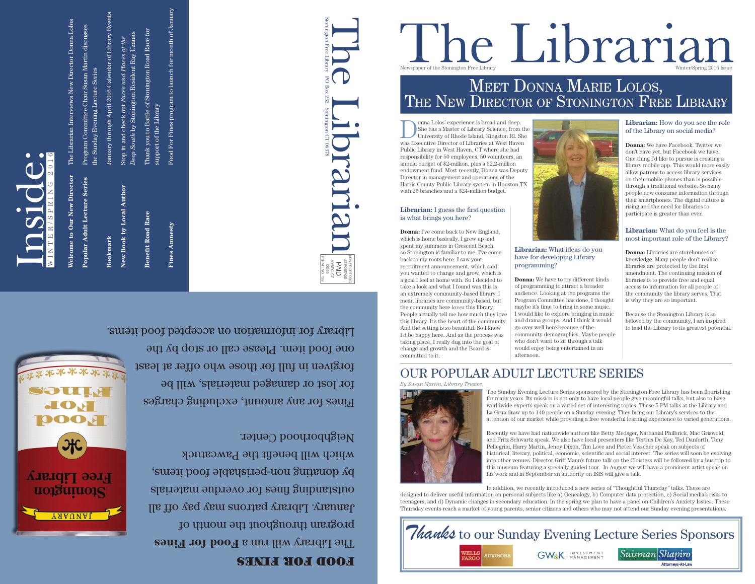Oonna Lolos' experience is broad and deep.<br>
She has a Master of Library Science, from the<br>
University of Rhode Island, Kingston RI. She<br>
West Heyer She has a Master of Library Science, from the was Executive Director of Libraries at West Haven Public Library in West Haven, CT where she had responsibility for 50 employees, 50 volunteers, an annual budget of \$2-million, plus a \$2.2-million endowment fund. Most recently, Donna was Deputy Director in management and operations of the Harris County Public Library system in Houston,TX with 26 branches and a \$24-million budget.

# Newspaper of the Stonington Free Library

## **Librarian:** I guess the first question



## Meet Donna Marie LoLos, THE NEW DIRECTOR OF STONINGTON FREE LIBRARY

is what brings you here? **Donna:** I've come back to New England, which is home basically. I grew up and spent my summers in Crescent Beach, so Stonington is familiar to me. I've come back to my roots here. I saw your recruitment announcement, which said you wanted to change and grow, which is a goal I feel at home with. So I decided to take a look and what I found was this is an extremely community-based library. I mean libraries are community-based, but the community here *loves* this library. People actually tell me how much they love this library. It's the heart of the community. And the setting is so beautiful. So I knew I'd be happy here. And as the process was taking place, I really dug into the goal of change and growth and the Board is committed to it.

*By Susan Martin, Library Trustee*

### **Librarian:** What ideas do you have for developing Library programming?

**Donna:** We have to try different kinds of programming to attract a broader audience. Looking at the programs the Program Committee has done, I thought maybe it's time to bring in some music. I would like to explore bringing in music and drama groups. And I think it would go over well here because of the community demographics. Maybe people who don't want to sit through a talk would enjoy being entertained in an afternoon.

The Sunday Evening Lecture Series sponsored by the Stonington Free Library has been flourishing for many years. Its mission is not only to have local people give meaningful talks, but also to have worldwide experts speak on a varied set of interesting topics. These 5 PM talks at the Library and La Grua draw up to 140 people on a Sunday evening. They bring our Library's services to the attention of our market while providing a free wonderful learning experience to varied generations.

Recently we have had nationwide authors like Betty Medsger, Nathanial Philbrick, Mac Griswold, and Fritz Schwartz speak. We also have local presenters like Tertius De Kay, Ted Danforth, Tony Pellegrini, Harry Martin, Jenny Dixon, Tim Love and Pieter Visscher speak on subjects of historical, literary, political, economic, scientific and social interest. The series will soon be evolving into other venues. Director Griff Mann's future talk on the Cloisters will be followed by a bus trip to this museum featuring a specially guided tour. In August we will have a prominent artist speak on his work and in September an authority on ISIS will give a talk.

Food for Finesh will run a Food for Fines portugal throughout the month of January. Library patrons may pay off all outstanding fines for overdue materials by donating non-perishable food items, which will benefit the Pawcatuck Neighborhood Center.

Fines for any amount, excluding charges for lost or damaged materials, will be forgiven in full for those who offer at least one food item. Please call or stop by the Library for information on accepted food items.

> In addition, we recently introduced a new series of "Thoughtful Thursday" talks. These are designed to deliver useful information on personal subjects like a) Genealogy, b) Computer data protection, c) Social media's risks to teenagers, and d) Dynamic changes in secondary education. In the spring we plan to have a panel on Children's Anxiety Issues. These Thursday events reach a market of young parents, senior citizens and others who may not attend our Sunday evening presentations.



## OUR POPULAR ADULT LECTURE SERIES

### **Librarian:** How do you see the role of the Library on social media?

**Donna:** We have Facebook. Twitter we don't have yet, but Facebook we have. One thing I'd like to pursue is creating a library mobile app. This would more easily allow patrons to access library services on their mobile phones than is possible through a traditional website. So many people now consume information through their smartphones. The digital culture is rising and the need for libraries to participate is greater than ever.

## **Librarian:** What do you feel is the most important role of the Library?

**Donna:** Libraries are storehouses of knowledge. Many people don't realize libraries are protected by the first amendment. The continuing mission of libraries is to provide free and equal access to information for all people of the community the library serves. That is why they are so important.

Because the Stonington Library is so beloved by the community, I am inspired to lead the Library to its greatest potential.





| ew Director<br>Welcome to Our N     | The Librarian Interviews New Director Donna Lolos                                             |
|-------------------------------------|-----------------------------------------------------------------------------------------------|
| <b>Popular Adult Lecture Series</b> | Program Committee Chair Susan Martin discusses<br>the Sunday Evening Lecture Series           |
| Bookmark                            | January through April 2016 Calendar of Library Events                                         |
| New Book by Local Author            | Deep South by Stonington Resident Ray Uzanas<br>Stop in and check out Faces and Places of the |
| <b>Benefit Road Race</b>            | Thank you to Battle of Stonington Road Race for<br>support of the Library                     |
| <b>Fines Amnesty</b>                | Food For Fines program to launch for month of January                                         |
|                                     |                                                                                               |



DOOH

 $rac{1}{2}$ 

**Free Library** 

rongninois

YAAUNAI